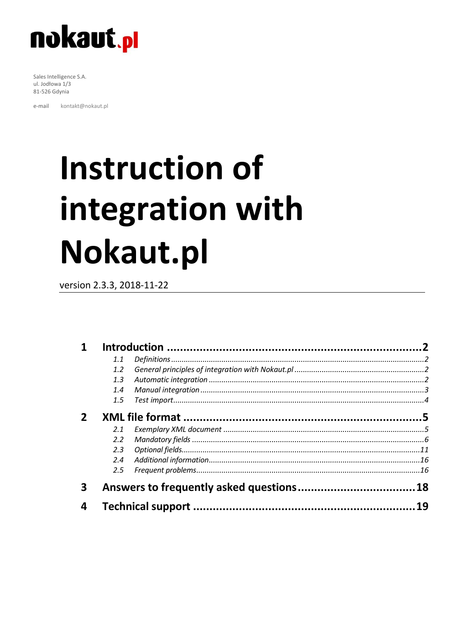

Sales Intelligence S.A. ul. Jodłowa 1/3 81-526 Gdynia

kontakt@nokaut.pl e-mail

# **Instruction of** integration with Nokaut.pl

version 2.3.3, 2018-11-22

|   | 1.1           |    |
|---|---------------|----|
|   | $1.2^{\circ}$ |    |
|   | 1.3           |    |
|   | 1.4           |    |
|   | $1.5^{\circ}$ |    |
|   |               |    |
|   | 2.1           |    |
|   | $2.2^{\circ}$ |    |
|   | 2.3           |    |
|   | 2.4           |    |
|   | $2.5^{\circ}$ |    |
| 3 |               |    |
| 4 |               | 19 |
|   |               |    |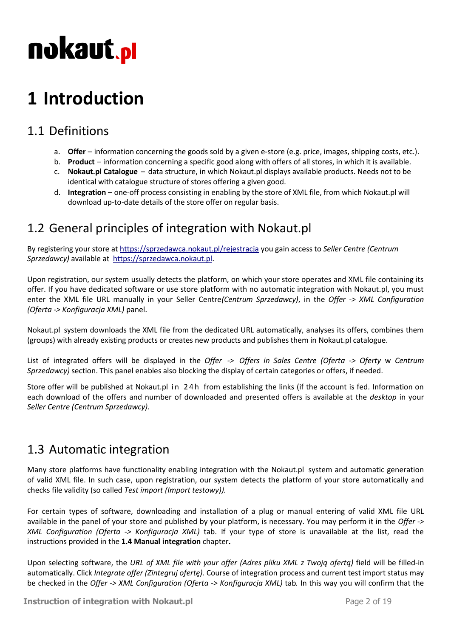### <span id="page-1-0"></span>**1 Introduction**

### <span id="page-1-1"></span>1.1 Definitions

- a. **Offer** information concerning the goods sold by a given e-store (e.g. price, images, shipping costs, etc.).
- b. **Product** information concerning a specific good along with offers of all stores, in which it is available.
- c. **Nokaut.pl Catalogue** data structure, in which Nokaut.pl displays available products. Needs not to be identical with catalogue structure of stores offering a given good.
- d. **Integration** one-off process consisting in enabling by the store of XML file, from which Nokaut.pl will download up-to-date details of the store offer on regular basis.

### <span id="page-1-2"></span>1.2 General principles of integration with Nokaut.pl

By registering your store at<https://sprzedawca.nokaut.pl/rejestracja> you gain access to *Seller Centre (Centrum Sprzedawcy)* available at [https://sprzedawca.nokaut.pl.](https://sprzedawca.nokaut.pl/)

Upon registration, our system usually detects the platform, on which your store operates and XML file containing its offer. If you have dedicated software or use store platform with no automatic integration with Nokaut.pl, you must enter the XML file URL manually in your Seller Centre*(Centrum Sprzedawcy)*, in the *Offer -> XML Configuration (Oferta -> Konfiguracja XML)* panel.

Nokaut.pl system downloads the XML file from the dedicated URL automatically, analyses its offers, combines them (groups) with already existing products or creates new products and publishes them in Nokaut.pl catalogue.

List of integrated offers will be displayed in the *Offer -> Offers in Sales Centre (Oferta -> Oferty* w *Centrum Sprzedawcy)* section. This panel enables also blocking the display of certain categories or offers, if needed.

Store offer will be published at Nokaut.pl in 24h from establishing the links (if the account is fed. Information on each download of the offers and number of downloaded and presented offers is available at the *desktop* in your *Seller Centre (Centrum Sprzedawcy).* 

### <span id="page-1-3"></span>1.3 Automatic integration

Many store platforms have functionality enabling integration with the Nokaut.pl system and automatic generation of valid XML file. In such case, upon registration, our system detects the platform of your store automatically and checks file validity (so called *Test import (Import testowy)).* 

For certain types of software, downloading and installation of a plug or manual entering of valid XML file URL available in the panel of your store and published by your platform, is necessary. You may perform it in the *Offer -> XML Configuration (Oferta -> Konfiguracja XML)* tab. If your type of store is unavailable at the list, read the instructions provided in the **1.4 Manual integration** chapter**.**

Upon selecting software, the *URL of XML file with your offer (Adres pliku XML z Twoją ofertą)* field will be filled-in automatically. Click *Integrate offer (Zintegruj ofertę).* Course of integration process and current test import status may be checked in the *Offer -> XML Configuration (Oferta -> Konfiguracja XML)* tab*.* In this way you will confirm that the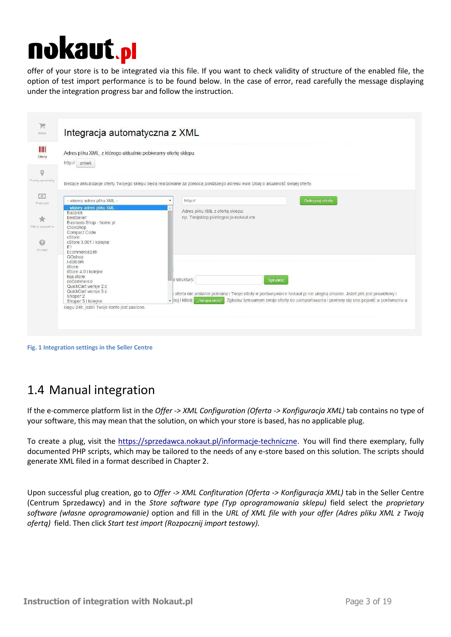offer of your store is to be integrated via this file. If you want to check validity of structure of the enabled file, the option of test import performance is to be found below. In the case of error, read carefully the message displaying under the integration progress bar and follow the instruction.

| Adres pliku XML, z którego aktualnie pobieramy oferte sklepu |                                                                                                                                 |
|--------------------------------------------------------------|---------------------------------------------------------------------------------------------------------------------------------|
| http:// zmień                                                |                                                                                                                                 |
|                                                              |                                                                                                                                 |
|                                                              | Bieżące aktualizacje oferty Twojego sklepu będą realizowane za pomocą poniższego adresu www. Dbaj o akualność swojej oferty.    |
| - własny adres pliku XML -                                   | Zintegruj oferte<br>http://<br>۰                                                                                                |
| własny adres pliku XML<br><b>Bazarek</b>                     | Adres pliku XML z oferta sklepu:                                                                                                |
| BestSeller<br>Business Shop - home.pl                        | np. Twojsklep.pl/integracja-nokaut.xml                                                                                          |
| ClickShop<br>Compact Code                                    |                                                                                                                                 |
| cStore<br>cStore 3.001 i kolejne                             |                                                                                                                                 |
| E1<br>Ecommerce24h                                           |                                                                                                                                 |
| GOshop                                                       |                                                                                                                                 |
| I-dotcom<br><b>iStore</b>                                    |                                                                                                                                 |
| iStore 4.0 i kolejne<br>kgs.store                            | lo struktury:                                                                                                                   |
| osCommerce<br>QuickCart wersje 2.x.                          | Sprawdź                                                                                                                         |
| QuickCart wersje 3.x.<br>Shoper 2                            | oferta nie zostanie pobrana i Twoje oferty w porównywarce Nokaut pl nie ulegną zmianie. Jeżeli plik jest prawidłowy i           |
| Shoper 3 i kolejne                                           | Zgłosisz tym samym swoje oferty do zaimportowania i powinny się one pojawić w porównaniu w<br>v zej i kliknij "zniegruj ofertę" |

**Fig. 1 Integration settings in the Seller Centre** 

### <span id="page-2-0"></span>1.4 Manual integration

If the e-commerce platform list in the *Offer -> XML Configuration (Oferta -> Konfiguracja XML)* tab contains no type of your software, this may mean that the solution, on which your store is based, has no applicable plug.

To create a plug, visit the [https://sprzedawca.nokaut.pl/informacje-techniczne.](https://sprzedawca.nokaut.pl/informacje-techniczne) You will find there exemplary, fully documented PHP scripts, which may be tailored to the needs of any e-store based on this solution. The scripts should generate XML filed in a format described in Chapter 2.

Upon successful plug creation, go to *Offer -> XML Confituration (Oferta -> Konfiguracja XML)* tab in the Seller Centre (Centrum Sprzedawcy) and in the *Store software type (Typ oprogramowania sklepu)* field select the *proprietary software (własne oprogramowanie)* option and fill in the *URL of XML file with your offer (Adres pliku XML z Twoją ofertą)* field. Then click *Start test import (Rozpocznij import testowy).*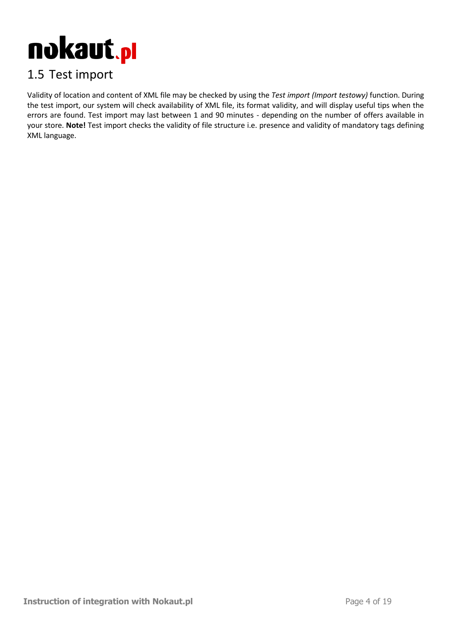

### <span id="page-3-0"></span>1.5 Test import

Validity of location and content of XML file may be checked by using the *Test import (Import testowy)* function. During the test import, our system will check availability of XML file, its format validity, and will display useful tips when the errors are found. Test import may last between 1 and 90 minutes - depending on the number of offers available in your store. **Note!** Test import checks the validity of file structure i.e. presence and validity of mandatory tags defining XML language.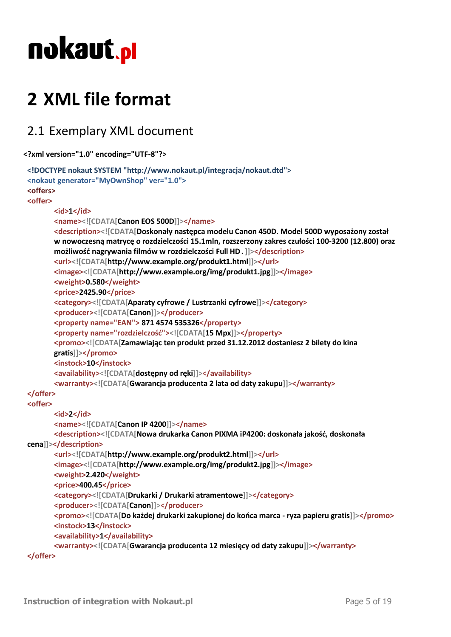### <span id="page-4-0"></span>**2 XML file format**

### <span id="page-4-1"></span>2.1 Exemplary XML document

```
<?xml version="1.0" encoding="UTF-8"?>
```

```
<!DOCTYPE nokaut SYSTEM "http://www.nokaut.pl/integracja/nokaut.dtd">
<nokaut generator="MyOwnShop" ver="1.0">
<offers>
<offer>
       <id>1</id>
       <name><![CDATA[Canon EOS 500D]]></name>
       <description><![CDATA[Doskonały następca modelu Canon 450D. Model 500D wyposażony został
       w nowoczesną matrycę o rozdzielczości 15.1mln, rozszerzony zakres czułości 100-3200 (12.800) oraz
       możliwość nagrywania filmów w rozdzielczości Full HD.]]></description>
       <url><![CDATA[http://www.example.org/produkt1.html]]></url>
       <image><![CDATA[http://www.example.org/img/produkt1.jpg]]></image>
       <weight>0.580</weight>
       <price>2425.90</price>
       <category><![CDATA[Aparaty cyfrowe / Lustrzanki cyfrowe]]></category>
       <producer><![CDATA[Canon]]></producer>
       <property name="EAN"> 871 4574 535326</property>
       <property name="rozdzielczość"><![CDATA[15 Mpx]]></property>
       <promo><![CDATA[Zamawiając ten produkt przed 31.12.2012 dostaniesz 2 bilety do kina
       gratis]]></promo>
       <instock>10</instock>
       <availability><![CDATA[dostępny od ręki]]></availability>
       <warranty><![CDATA[Gwarancja producenta 2 lata od daty zakupu]]></warranty>
</offer>
<offer>
       <id>2</id>
       <name><![CDATA[Canon IP 4200]]></name>
       <description><![CDATA[Nowa drukarka Canon PIXMA iP4200: doskonała jakość, doskonała
cena]]></description>
       <url><![CDATA[http://www.example.org/produkt2.html]]></url>
       <image><![CDATA[http://www.example.org/img/produkt2.jpg]]></image>
       <weight>2.420</weight>
       <price>400.45</price>
       <category><![CDATA[Drukarki / Drukarki atramentowe]]></category>
       <producer><![CDATA[Canon]]></producer>
       <promo><![CDATA[Do każdej drukarki zakupionej do końca marca - ryza papieru gratis]]></promo>
       <instock>13</instock>
       <availability>1</availability>
       <warranty><![CDATA[Gwarancja producenta 12 miesięcy od daty zakupu]]></warranty>
</offer>
```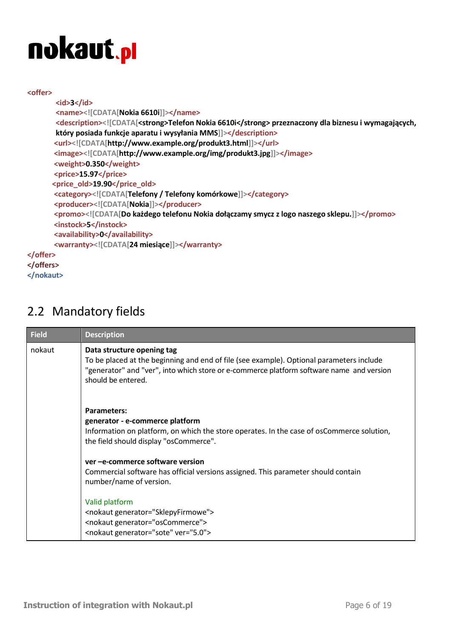#### **<offer>**

```
<id>3</id>
       <name><![CDATA[Nokia 6610i]]></name>
       <description><![CDATA[<strong>Telefon Nokia 6610i</strong> przeznaczony dla biznesu i wymagających, 
       który posiada funkcje aparatu i wysyłania MMS]]></description>
       <url><![CDATA[http://www.example.org/produkt3.html]]></url>
       <image><![CDATA[http://www.example.org/img/produkt3.jpg]]></image>
       <weight>0.350</weight>
       <price>15.97</price>
      <price_old>19.90</price_old>
       <category><![CDATA[Telefony / Telefony komórkowe]]></category>
       <producer><![CDATA[Nokia]]></producer>
       <promo><![CDATA[Do każdego telefonu Nokia dołączamy smycz z logo naszego sklepu.]]></promo>
       <instock>5</instock>
       <availability>0</availability>
       <warranty><![CDATA[24 miesiące]]></warranty>
</offer>
</offers>
</nokaut>
```
### <span id="page-5-0"></span>2.2 Mandatory fields

| <b>Field</b> | <b>Description</b>                                                                                                                                                                                                                       |
|--------------|------------------------------------------------------------------------------------------------------------------------------------------------------------------------------------------------------------------------------------------|
| nokaut       | Data structure opening tag<br>To be placed at the beginning and end of file (see example). Optional parameters include<br>"generator" and "ver", into which store or e-commerce platform software name and version<br>should be entered. |
|              | <b>Parameters:</b><br>generator - e-commerce platform<br>Information on platform, on which the store operates. In the case of osCommerce solution,<br>the field should display "osCommerce".                                             |
|              | ver -e-commerce software version<br>Commercial software has official versions assigned. This parameter should contain<br>number/name of version.                                                                                         |
|              | Valid platform<br><nokaut generator="SklepyFirmowe"><br/><nokaut generator="osCommerce"><br/><nokaut generator="sote" ver="5.0"></nokaut></nokaut></nokaut>                                                                              |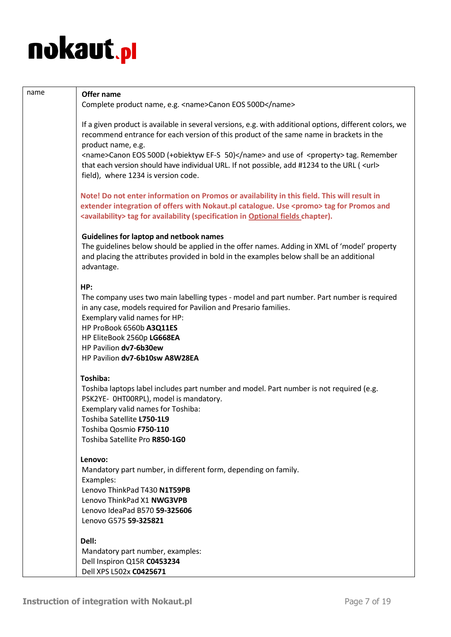| name | Offer name                                                                                                                                                                                                                                                                                        |
|------|---------------------------------------------------------------------------------------------------------------------------------------------------------------------------------------------------------------------------------------------------------------------------------------------------|
|      | Complete product name, e.g. <name>Canon EOS 500D</name>                                                                                                                                                                                                                                           |
|      | If a given product is available in several versions, e.g. with additional options, different colors, we<br>recommend entrance for each version of this product of the same name in brackets in the<br>product name, e.g.                                                                          |
|      | <name>Canon EOS 500D (+obiektyw EF-S 50)</name> and use of <property> tag. Remember<br/>that each version should have individual URL. If not possible, add #1234 to the URL (<url><br/>field), where 1234 is version code.</url></property>                                                       |
|      | Note! Do not enter information on Promos or availability in this field. This will result in<br>extender integration of offers with Nokaut.pl catalogue. Use <promo> tag for Promos and<br/><availability> tag for availability (specification in Optional fields chapter).</availability></promo> |
|      | <b>Guidelines for laptop and netbook names</b><br>The guidelines below should be applied in the offer names. Adding in XML of 'model' property<br>and placing the attributes provided in bold in the examples below shall be an additional<br>advantage.                                          |
|      | HP:<br>The company uses two main labelling types - model and part number. Part number is required<br>in any case, models required for Pavilion and Presario families.<br>Exemplary valid names for HP:                                                                                            |
|      | HP ProBook 6560b A3Q11ES<br>HP EliteBook 2560p LG668EA<br>HP Pavilion dv7-6b30ew                                                                                                                                                                                                                  |
|      | HP Pavilion dv7-6b10sw A8W28EA                                                                                                                                                                                                                                                                    |
|      | Toshiba:                                                                                                                                                                                                                                                                                          |
|      | Toshiba laptops label includes part number and model. Part number is not required (e.g.<br>PSK2YE- OHTOORPL), model is mandatory.                                                                                                                                                                 |
|      | Exemplary valid names for Toshiba:<br>Toshiba Satellite L750-1L9                                                                                                                                                                                                                                  |
|      | Toshiba Qosmio F750-110<br>Toshiba Satellite Pro R850-1G0                                                                                                                                                                                                                                         |
|      | Lenovo:<br>Mandatory part number, in different form, depending on family.                                                                                                                                                                                                                         |
|      | Examples:                                                                                                                                                                                                                                                                                         |
|      | Lenovo ThinkPad T430 N1T59PB                                                                                                                                                                                                                                                                      |
|      | Lenovo ThinkPad X1 NWG3VPB<br>Lenovo IdeaPad B570 59-325606                                                                                                                                                                                                                                       |
|      | Lenovo G575 59-325821                                                                                                                                                                                                                                                                             |
|      | Dell:                                                                                                                                                                                                                                                                                             |
|      | Mandatory part number, examples:<br>Dell Inspiron Q15R C0453234                                                                                                                                                                                                                                   |
|      | Dell XPS L502x C0425671                                                                                                                                                                                                                                                                           |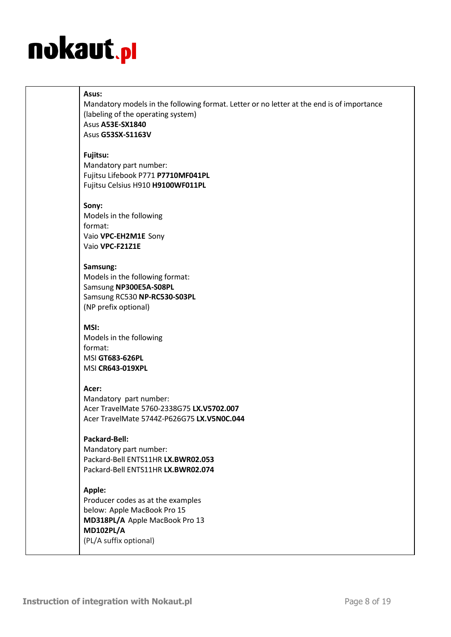#### **Asus:**

Mandatory models in the following format. Letter or no letter at the end is of importance (labeling of the operating system) Asus **A53E-SX1840** Asus **G53SX-S1163V**

#### **Fujitsu:**

Mandatory part number: Fujitsu Lifebook P771 **P7710MF041PL** Fujitsu Celsius H910 **H9100WF011PL**

#### **Sony:**

Models in the following format: Vaio **VPC-EH2M1E** Sony Vaio **VPC-F21Z1E**

#### **Samsung:**

Models in the following format: Samsung **NP300E5A-S08PL** Samsung RC530 **NP-RC530-S03PL** (NP prefix optional)

#### **MSI:**

Models in the following format: MSI **GT683-626PL** MSI **CR643-019XPL**

#### **Acer:**

Mandatory part number: Acer TravelMate 5760-2338G75 **LX.V5702.007** Acer TravelMate 5744Z-P626G75 **LX.V5N0C.044**

#### **Packard-Bell:**

Mandatory part number: Packard-Bell ENTS11HR **LX.BWR02.053** Packard-Bell ENTS11HR **LX.BWR02.074**

#### **Apple:**

Producer codes as at the examples below: Apple MacBook Pro 15 **MD318PL/A** Apple MacBook Pro 13 **MD102PL/A** (PL/A suffix optional)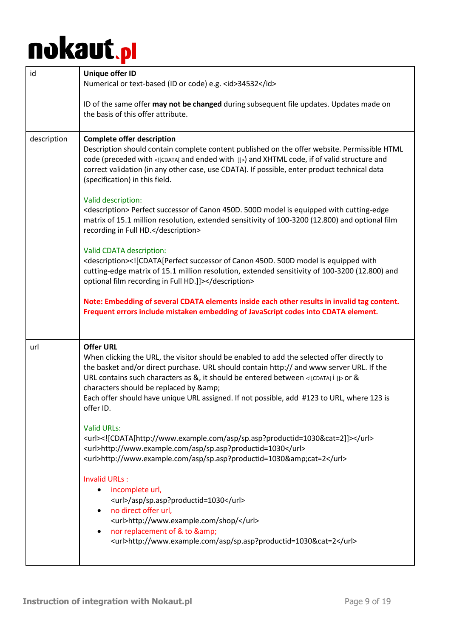| id          | <b>Unique offer ID</b><br>Numerical or text-based (ID or code) e.g. <id>34532</id>                                                                                                                                                                                                                                                                                                                                                               |
|-------------|--------------------------------------------------------------------------------------------------------------------------------------------------------------------------------------------------------------------------------------------------------------------------------------------------------------------------------------------------------------------------------------------------------------------------------------------------|
|             | ID of the same offer may not be changed during subsequent file updates. Updates made on<br>the basis of this offer attribute.                                                                                                                                                                                                                                                                                                                    |
| description | <b>Complete offer description</b><br>Description should contain complete content published on the offer website. Permissible HTML<br>code (preceded with [CDATA] and ended with ]] ) and XHTML code, if of valid structure and<br>correct validation (in any other case, use CDATA). If possible, enter product technical data<br>(specification) in this field.                                                                                 |
|             | Valid description:<br><description> Perfect successor of Canon 450D. 500D model is equipped with cutting-edge<br/>matrix of 15.1 million resolution, extended sensitivity of 100-3200 (12.800) and optional film<br/>recording in Full HD.</description>                                                                                                                                                                                         |
|             | Valid CDATA description:<br><description><![CDATA[Perfect successor of Canon 450D. 500D model is equipped with<br>cutting-edge matrix of 15.1 million resolution, extended sensitivity of 100-3200 (12.800) and<br>optional film recording in Full HD.]]></description>                                                                                                                                                                          |
|             | Note: Embedding of several CDATA elements inside each other results in invalid tag content.<br>Frequent errors include mistaken embedding of JavaScript codes into CDATA element.                                                                                                                                                                                                                                                                |
| url         | <b>Offer URL</b><br>When clicking the URL, the visitor should be enabled to add the selected offer directly to<br>the basket and/or direct purchase. URL should contain http:// and www server URL. If the<br>URL contains such characters as &, it should be entered between [CDATA[ i ]] or &<br>characters should be replaced by &<br>Each offer should have unique URL assigned. If not possible, add #123 to URL, where 123 is<br>offer ID. |
|             | <b>Valid URLs:</b><br><url><![CDATA[http://www.example.com/asp/sp.asp?productid=1030&cat=2]]></url><br><url>http://www.example.com/asp/sp.asp?productid=1030</url><br><url>http://www.example.com/asp/sp.asp?productid=1030&amp;cat=2</url>                                                                                                                                                                                                      |
|             | <b>Invalid URLs:</b><br>incomplete url,<br><url>/asp/sp.asp?productid=1030</url><br>no direct offer url,<br><url>http://www.example.com/shop/</url><br>nor replacement of & to &<br><url>http://www.example.com/asp/sp.asp?productid=1030&amp;cat=2</url>                                                                                                                                                                                        |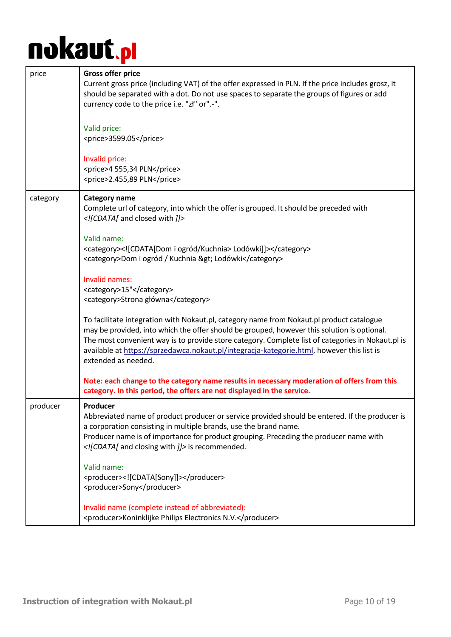| price    | <b>Gross offer price</b><br>Current gross price (including VAT) of the offer expressed in PLN. If the price includes grosz, it<br>should be separated with a dot. Do not use spaces to separate the groups of figures or add<br>currency code to the price i.e. "zł" or".-".<br>Valid price:<br><price>3599.05</price>                                                                                           |
|----------|------------------------------------------------------------------------------------------------------------------------------------------------------------------------------------------------------------------------------------------------------------------------------------------------------------------------------------------------------------------------------------------------------------------|
|          | Invalid price:<br><price>4 555,34 PLN</price><br><price>2.455,89 PLN</price>                                                                                                                                                                                                                                                                                                                                     |
| category | <b>Category name</b><br>Complete url of category, into which the offer is grouped. It should be preceded with<br>[CDATA] and closed with ]]                                                                                                                                                                                                                                                                      |
|          | Valid name:<br><category><![CDATA[Dom i ogród/Kuchnia> Lodówki]]></category><br><category>Dom i ogród / Kuchnia &gt; Lodówki</category>                                                                                                                                                                                                                                                                          |
|          | Invalid names:<br><category>15"</category><br><category>Strona główna</category>                                                                                                                                                                                                                                                                                                                                 |
|          | To facilitate integration with Nokaut.pl, category name from Nokaut.pl product catalogue<br>may be provided, into which the offer should be grouped, however this solution is optional.<br>The most convenient way is to provide store category. Complete list of categories in Nokaut.pl is<br>available at https://sprzedawca.nokaut.pl/integracja-kategorie.html, however this list is<br>extended as needed. |
|          | Note: each change to the category name results in necessary moderation of offers from this<br>category. In this period, the offers are not displayed in the service.                                                                                                                                                                                                                                             |
| producer | Producer<br>Abbreviated name of product producer or service provided should be entered. If the producer is<br>a corporation consisting in multiple brands, use the brand name.<br>Producer name is of importance for product grouping. Preceding the producer name with<br>[CDATA [ and closing with ]] is recommended.                                                                                          |
|          | Valid name:<br><producer><![CDATA[Sony]]></producer><br><producer>Sony</producer>                                                                                                                                                                                                                                                                                                                                |
|          | Invalid name (complete instead of abbreviated):<br><producer>Koninklijke Philips Electronics N.V.</producer>                                                                                                                                                                                                                                                                                                     |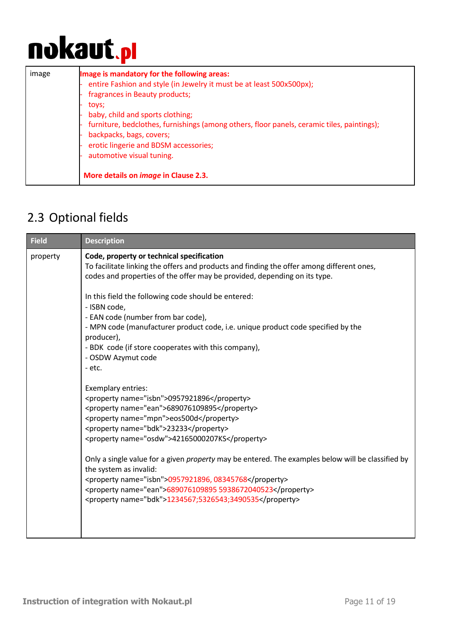| image | Image is mandatory for the following areas:<br>entire Fashion and style (in Jewelry it must be at least 500x500px);<br>fragrances in Beauty products;<br>toys;<br>baby, child and sports clothing;<br>furniture, bedclothes, furnishings (among others, floor panels, ceramic tiles, paintings);<br>backpacks, bags, covers;<br>erotic lingerie and BDSM accessories;<br>automotive visual tuning. |
|-------|----------------------------------------------------------------------------------------------------------------------------------------------------------------------------------------------------------------------------------------------------------------------------------------------------------------------------------------------------------------------------------------------------|
|       | More details on <i>image</i> in Clause 2.3.                                                                                                                                                                                                                                                                                                                                                        |

### <span id="page-10-0"></span>2.3 Optional fields

| <b>Field</b> | <b>Description</b>                                                                                                                                                                                                                                                                                                                                                                                                                                                                                                                                                                                                                                                                                                                                                                                                                                                                                                                                                                  |
|--------------|-------------------------------------------------------------------------------------------------------------------------------------------------------------------------------------------------------------------------------------------------------------------------------------------------------------------------------------------------------------------------------------------------------------------------------------------------------------------------------------------------------------------------------------------------------------------------------------------------------------------------------------------------------------------------------------------------------------------------------------------------------------------------------------------------------------------------------------------------------------------------------------------------------------------------------------------------------------------------------------|
| property     | Code, property or technical specification<br>To facilitate linking the offers and products and finding the offer among different ones,<br>codes and properties of the offer may be provided, depending on its type.<br>In this field the following code should be entered:<br>- ISBN code,<br>- EAN code (number from bar code),<br>- MPN code (manufacturer product code, i.e. unique product code specified by the<br>producer),<br>- BDK code (if store cooperates with this company),<br>- OSDW Azymut code<br>- etc.<br>Exemplary entries:<br><property name="isbn">0957921896</property><br><property name="ean">689076109895</property><br><property name="mpn">eos500d</property><br><property name="bdk">23233</property><br><property name="osdw">42165000207KS</property><br>Only a single value for a given <i>property</i> may be entered. The examples below will be classified by<br>the system as invalid:<br><property name="isbn">0957921896, 08345768</property> |
|              | <property name="ean">689076109895 5938672040523</property><br><property name="bdk">1234567;5326543;3490535</property>                                                                                                                                                                                                                                                                                                                                                                                                                                                                                                                                                                                                                                                                                                                                                                                                                                                               |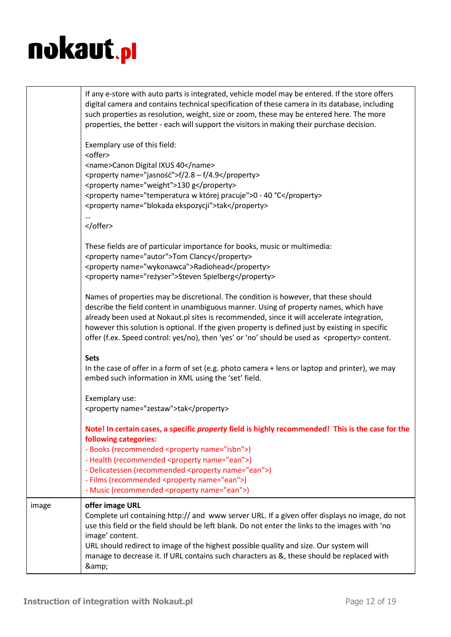|       | If any e-store with auto parts is integrated, vehicle model may be entered. If the store offers<br>digital camera and contains technical specification of these camera in its database, including<br>such properties as resolution, weight, size or zoom, these may be entered here. The more<br>properties, the better - each will support the visitors in making their purchase decision.<br>Exemplary use of this field:                                                                 |
|-------|---------------------------------------------------------------------------------------------------------------------------------------------------------------------------------------------------------------------------------------------------------------------------------------------------------------------------------------------------------------------------------------------------------------------------------------------------------------------------------------------|
|       | <offer><br/><name>Canon Digital IXUS 40</name><br/><property name="jasność">f/2.8 - f/4.9</property><br/><property name="weight">130 g</property><br/><property name="temperatura w której pracuje">0 - 40 °C</property><br/><property name="blokada ekspozycji">tak</property></offer>                                                                                                                                                                                                     |
|       |                                                                                                                                                                                                                                                                                                                                                                                                                                                                                             |
|       | These fields are of particular importance for books, music or multimedia:<br><property name="autor">Tom Clancy</property><br><property name="wykonawca">Radiohead</property><br><property name="reżyser">Steven Spielberg</property>                                                                                                                                                                                                                                                        |
|       | Names of properties may be discretional. The condition is however, that these should<br>describe the field content in unambiguous manner. Using of property names, which have<br>already been used at Nokaut.pl sites is recommended, since it will accelerate integration,<br>however this solution is optional. If the given property is defined just by existing in specific<br>offer (f.ex. Speed control: yes/no), then 'yes' or 'no' should be used as <property> content.</property> |
|       | <b>Sets</b><br>In the case of offer in a form of set (e.g. photo camera + lens or laptop and printer), we may<br>embed such information in XML using the 'set' field.                                                                                                                                                                                                                                                                                                                       |
|       | Exemplary use:<br><property name="zestaw">tak</property>                                                                                                                                                                                                                                                                                                                                                                                                                                    |
|       | Note! In certain cases, a specific property field is highly recommended! This is the case for the<br>following categories:<br>- Books (recommended <property name="isbn">)<br/>- Health (recommended <property name="ean">)<br/>- Delicatessen (recommended <property name="ean">)<br/>- Films (recommended <property name="ean">)<br/>- Music (recommended <property name="ean">)</property></property></property></property></property>                                                   |
| image | offer image URL<br>Complete url containing http:// and www server URL. If a given offer displays no image, do not<br>use this field or the field should be left blank. Do not enter the links to the images with 'no<br>image' content.<br>URL should redirect to image of the highest possible quality and size. Our system will<br>manage to decrease it. If URL contains such characters as &, these should be replaced with<br>&                                                        |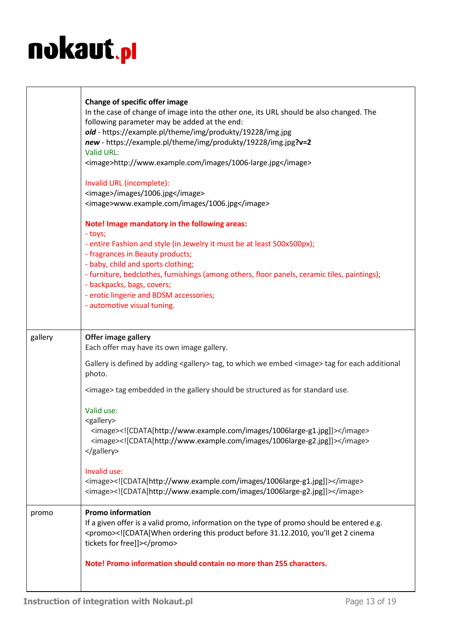|         | Change of specific offer image<br>In the case of change of image into the other one, its URL should be also changed. The<br>following parameter may be added at the end:<br>old - https://example.pl/theme/img/produkty/19228/img.jpg<br>new - https://example.pl/theme/img/produkty/19228/img.jpg?v=2<br>Valid URL:<br><image/> http://www.example.com/images/1006-large.jpg<br>Invalid URL (incomplete):<br><image/> /images/1006.jpg<br><image/> www.example.com/images/1006.jpg<br>Note! Image mandatory in the following areas:<br>- toys;<br>- entire Fashion and style (in Jewelry it must be at least 500x500px);<br>- fragrances in Beauty products;<br>- baby, child and sports clothing; |
|---------|-----------------------------------------------------------------------------------------------------------------------------------------------------------------------------------------------------------------------------------------------------------------------------------------------------------------------------------------------------------------------------------------------------------------------------------------------------------------------------------------------------------------------------------------------------------------------------------------------------------------------------------------------------------------------------------------------------|
|         | - furniture, bedclothes, furnishings (among others, floor panels, ceramic tiles, paintings);<br>- backpacks, bags, covers;                                                                                                                                                                                                                                                                                                                                                                                                                                                                                                                                                                          |
|         | - erotic lingerie and BDSM accessories;<br>- automotive visual tuning.                                                                                                                                                                                                                                                                                                                                                                                                                                                                                                                                                                                                                              |
|         |                                                                                                                                                                                                                                                                                                                                                                                                                                                                                                                                                                                                                                                                                                     |
| gallery | Offer image gallery<br>Each offer may have its own image gallery.                                                                                                                                                                                                                                                                                                                                                                                                                                                                                                                                                                                                                                   |
|         | Gallery is defined by adding <gallery> tag, to which we embed <image/> tag for each additional<br/>photo.</gallery>                                                                                                                                                                                                                                                                                                                                                                                                                                                                                                                                                                                 |
|         | <image/> tag embedded in the gallery should be structured as for standard use.                                                                                                                                                                                                                                                                                                                                                                                                                                                                                                                                                                                                                      |
|         | Valid use:<br><gallery><br/><image/><![CDATA[http://www.example.com/images/1006large-g1.jpg]]><br/><image/><![CDATA[http://www.example.com/images/1006large-g2.jpg]]><br/></gallery>                                                                                                                                                                                                                                                                                                                                                                                                                                                                                                                |
|         | Invalid use:<br><image/> http://www.example.com/images/1006large-g1.jpg<br><image/> http://www.example.com/images/1006large-g2.jpg                                                                                                                                                                                                                                                                                                                                                                                                                                                                                                                                                                  |
| promo   | <b>Promo information</b><br>If a given offer is a valid promo, information on the type of promo should be entered e.g.<br><promo><![CDATA[When ordering this product before 31.12.2010, you'll get 2 cinema<br>tickets for free]]></promo>                                                                                                                                                                                                                                                                                                                                                                                                                                                          |
|         | Note! Promo information should contain no more than 255 characters.                                                                                                                                                                                                                                                                                                                                                                                                                                                                                                                                                                                                                                 |
|         |                                                                                                                                                                                                                                                                                                                                                                                                                                                                                                                                                                                                                                                                                                     |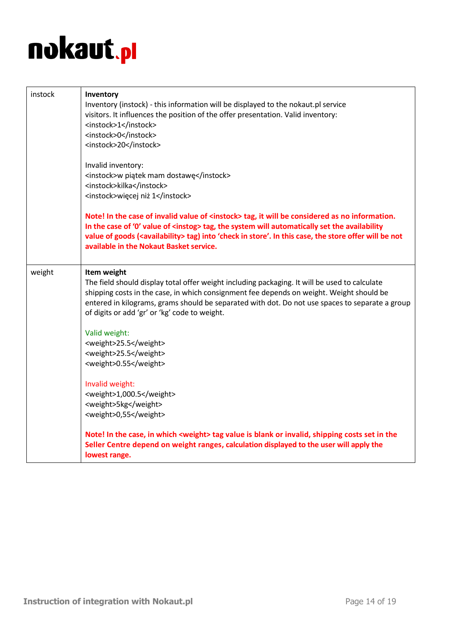| instock | Inventory<br>Inventory (instock) - this information will be displayed to the nokaut.pl service<br>visitors. It influences the position of the offer presentation. Valid inventory:<br><instock>1</instock><br><instock>0</instock><br><instock>20</instock><br>Invalid inventory:<br><instock>w piątek mam dostawę</instock><br><instock>kilka</instock><br><instock>więcej niż 1</instock><br>Note! In the case of invalid value of <instock> tag, it will be considered as no information.<br/>In the case of '0' value of <instog> tag, the system will automatically set the availability<br/>value of goods (<availability> tag) into 'check in store'. In this case, the store offer will be not<br/>available in the Nokaut Basket service.</availability></instog></instock> |
|---------|--------------------------------------------------------------------------------------------------------------------------------------------------------------------------------------------------------------------------------------------------------------------------------------------------------------------------------------------------------------------------------------------------------------------------------------------------------------------------------------------------------------------------------------------------------------------------------------------------------------------------------------------------------------------------------------------------------------------------------------------------------------------------------------|
|         |                                                                                                                                                                                                                                                                                                                                                                                                                                                                                                                                                                                                                                                                                                                                                                                      |
| weight  | Item weight<br>The field should display total offer weight including packaging. It will be used to calculate<br>shipping costs in the case, in which consignment fee depends on weight. Weight should be<br>entered in kilograms, grams should be separated with dot. Do not use spaces to separate a group<br>of digits or add 'gr' or 'kg' code to weight.                                                                                                                                                                                                                                                                                                                                                                                                                         |
|         | Valid weight:<br><weight>25.5</weight>                                                                                                                                                                                                                                                                                                                                                                                                                                                                                                                                                                                                                                                                                                                                               |
|         | <weight>25.5</weight>                                                                                                                                                                                                                                                                                                                                                                                                                                                                                                                                                                                                                                                                                                                                                                |
|         | <weight>0.55</weight>                                                                                                                                                                                                                                                                                                                                                                                                                                                                                                                                                                                                                                                                                                                                                                |
|         | Invalid weight:<br><weight>1,000.5</weight><br><weight>5kg</weight><br><weight>0,55</weight>                                                                                                                                                                                                                                                                                                                                                                                                                                                                                                                                                                                                                                                                                         |
|         | Note! In the case, in which <weight> tag value is blank or invalid, shipping costs set in the<br/>Seller Centre depend on weight ranges, calculation displayed to the user will apply the<br/>lowest range.</weight>                                                                                                                                                                                                                                                                                                                                                                                                                                                                                                                                                                 |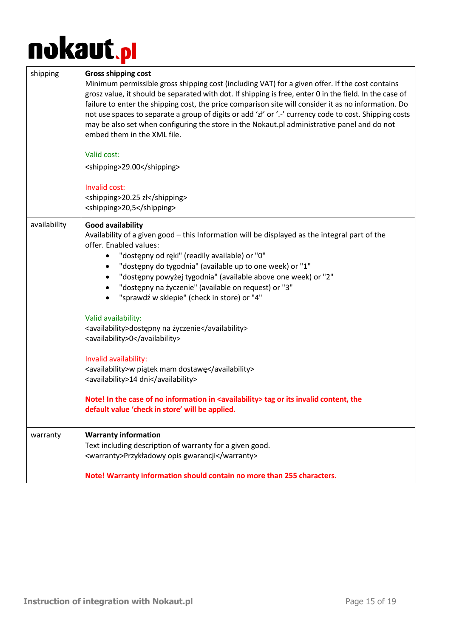| shipping     | <b>Gross shipping cost</b><br>Minimum permissible gross shipping cost (including VAT) for a given offer. If the cost contains<br>grosz value, it should be separated with dot. If shipping is free, enter 0 in the field. In the case of<br>failure to enter the shipping cost, the price comparison site will consider it as no information. Do<br>not use spaces to separate a group of digits or add 'zł' or '.-' currency code to cost. Shipping costs<br>may be also set when configuring the store in the Nokaut.pl administrative panel and do not<br>embed them in the XML file.<br>Valid cost:<br><shipping>29.00</shipping><br>Invalid cost:<br><shipping>20.25 zł</shipping><br><shipping>20,5</shipping>                                                                                                                    |
|--------------|-----------------------------------------------------------------------------------------------------------------------------------------------------------------------------------------------------------------------------------------------------------------------------------------------------------------------------------------------------------------------------------------------------------------------------------------------------------------------------------------------------------------------------------------------------------------------------------------------------------------------------------------------------------------------------------------------------------------------------------------------------------------------------------------------------------------------------------------|
| availability | <b>Good availability</b><br>Availability of a given good - this Information will be displayed as the integral part of the<br>offer. Enabled values:<br>"dostępny od ręki" (readily available) or "0"<br>"dostępny do tygodnia" (available up to one week) or "1"<br>"dostępny powyżej tygodnia" (available above one week) or "2"<br>"dostępny na życzenie" (available on request) or "3"<br>"sprawdź w sklepie" (check in store) or "4"<br>Valid availability:<br><availability>dostępny na życzenie</availability><br><availability>0</availability><br>Invalid availability:<br><availability>w piątek mam dostawę</availability><br><availability>14 dni</availability><br>Note! In the case of no information in <availability> tag or its invalid content, the<br/>default value 'check in store' will be applied.</availability> |
| warranty     | <b>Warranty information</b><br>Text including description of warranty for a given good.<br><warranty>Przykładowy opis gwarancji</warranty><br>Note! Warranty information should contain no more than 255 characters.                                                                                                                                                                                                                                                                                                                                                                                                                                                                                                                                                                                                                    |
|              |                                                                                                                                                                                                                                                                                                                                                                                                                                                                                                                                                                                                                                                                                                                                                                                                                                         |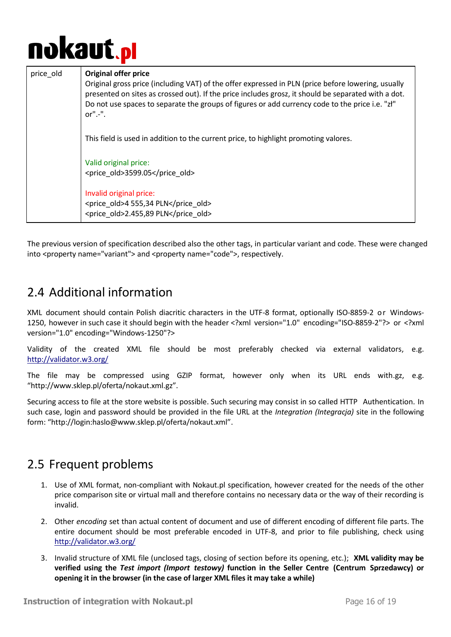## nokaut.<sub>P</sub>l

| price old | <b>Original offer price</b><br>Original gross price (including VAT) of the offer expressed in PLN (price before lowering, usually<br>presented on sites as crossed out). If the price includes grosz, it should be separated with a dot.<br>Do not use spaces to separate the groups of figures or add currency code to the price i.e. "zł"<br>$or$ " $-$ ". |
|-----------|--------------------------------------------------------------------------------------------------------------------------------------------------------------------------------------------------------------------------------------------------------------------------------------------------------------------------------------------------------------|
|           | This field is used in addition to the current price, to highlight promoting valores.                                                                                                                                                                                                                                                                         |
|           | Valid original price:<br><price old="">3599.05</price>                                                                                                                                                                                                                                                                                                       |
|           | Invalid original price:<br><price old="">4 555,34 PLN</price><br><price_old>2.455,89 PLN</price_old>                                                                                                                                                                                                                                                         |

The previous version of specification described also the other tags, in particular variant and code. These were changed into <property name="variant"> and <property name="code">, respectively.

### <span id="page-15-0"></span>2.4 Additional information

XML document should contain Polish diacritic characters in the UTF-8 format, optionally ISO-8859-2 or Windows-1250, however in such case it should begin with the header <?xml version="1.0" encoding="ISO-8859-2"?> or <?xml version="1.0" encoding="Windows-1250"?>

Validity of the created XML file should be most preferably checked via external validators, e.g. <http://validator.w3.org/>

The file may be compressed using GZIP format, however only when its URL ends with.gz, e.g. "http://www.sklep.pl/oferta/nokaut.xml.gz".

Securing access to file at the store website is possible. Such securing may consist in so called HTTP Authentication. In such case, login and password should be provided in the file URL at the *Integration (Integracja)* site in the following form: "http://login:haslo@www.sklep.pl/oferta/nokaut.xml".

### <span id="page-15-1"></span>2.5 Frequent problems

- 1. Use of XML format, non-compliant with Nokaut.pl specification, however created for the needs of the other price comparison site or virtual mall and therefore contains no necessary data or the way of their recording is invalid.
- 2. Other *encoding* set than actual content of document and use of different encoding of different file parts. The entire document should be most preferable encoded in UTF-8, and prior to file publishing, check using <http://validator.w3.org/>
- 3. Invalid structure of XML file (unclosed tags, closing of section before its opening, etc.); **XML validity may be verified using the** *Test import (Import testowy)* **function in the Seller Centre (Centrum Sprzedawcy) or opening it in the browser (in the case of larger XML files it may take a while)**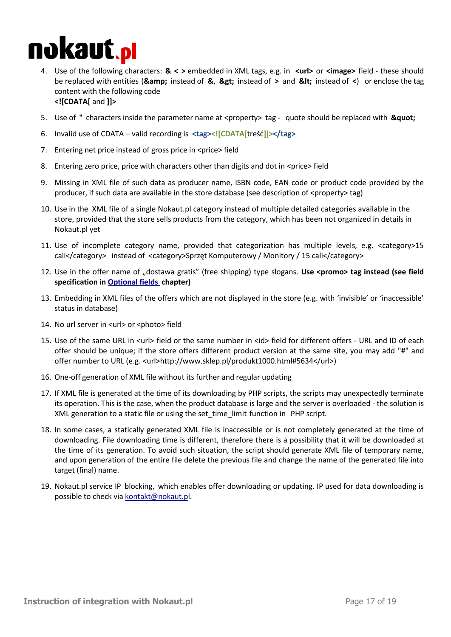### nokaut.<sub>P</sub>l

- 4. Use of the following characters: **& < >** embedded in XML tags, e.g. in **<url>** or **<image>** field these should be replaced with entities (*&amp*; instead of &, > instead of > and < instead of <) or enclose the tag content with the following code **<![CDATA[** and **]]>**
- 5. Use of " characters inside the parameter name at <property> tag quote should be replaced with **"**
- 6. Invalid use of CDATA valid recording is **<tag><![CDATA[**treść**]]></tag>**
- 7. Entering net price instead of gross price in <price> field
- 8. Entering zero price, price with characters other than digits and dot in <price> field
- 9. Missing in XML file of such data as producer name, ISBN code, EAN code or product code provided by the producer, if such data are available in the store database (see description of <property> tag)
- 10. Use in the XML file of a single Nokaut.pl category instead of multiple detailed categories available in the store, provided that the store sells products from the category, which has been not organized in details in Nokaut.pl yet
- 11. Use of incomplete category name, provided that categorization has multiple levels, e.g. <category>15 cali</category> instead of <category>Sprzęt Komputerowy / Monitory / 15 cali</category>
- 12. Use in the offer name of "dostawa gratis" (free shipping) type slogans. Use <promo> tag instead (see field **specification in Optional fields chapter)**
- 13. Embedding in XML files of the offers which are not displayed in the store (e.g. with 'invisible' or 'inaccessible' status in database)
- 14. No url server in <url> or <photo> field
- 15. Use of the same URL in <url> field or the same number in <id> field for different offers URL and ID of each offer should be unique; if the store offers different product version at the same site, you may add "#" and offer number to URL (e.g. <url>http://www.sklep.pl/produkt1000.html#5634</url>)
- 16. One-off generation of XML file without its further and regular updating
- 17. If XML file is generated at the time of its downloading by PHP scripts, the scripts may unexpectedly terminate its operation. This is the case, when the product database is large and the server is overloaded - the solution is XML generation to a static file or using the set\_time\_limit function in PHP script.
- 18. In some cases, a statically generated XML file is inaccessible or is not completely generated at the time of downloading. File downloading time is different, therefore there is a possibility that it will be downloaded at the time of its generation. To avoid such situation, the script should generate XML file of temporary name, and upon generation of the entire file delete the previous file and change the name of the generated file into target (final) name.
- 19. Nokaut.pl service IP blocking, which enables offer downloading or updating. IP used for data downloading is possible to check via [kontakt@nokaut.pl.](mailto:kontakt@nokaut.p)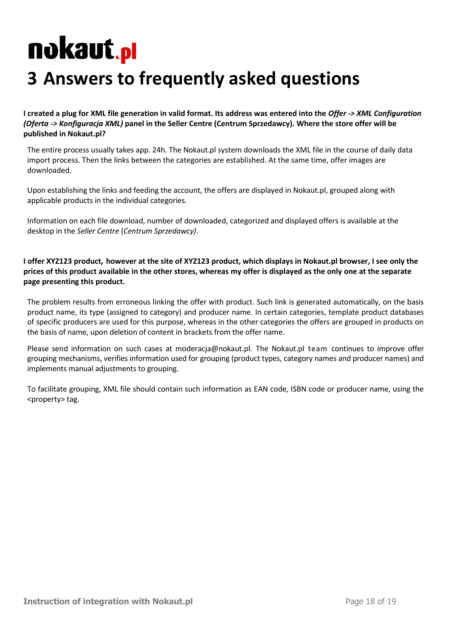### <span id="page-17-0"></span>**3 Answers to frequently asked questions**

**I created a plug for XML file generation in valid format. Its address was entered into the** *Offer -> XML Configuration (Oferta -> Konfiguracja XML)* **panel in the Seller Centre (Centrum Sprzedawcy). Where the store offer will be published in Nokaut.pl?** 

The entire process usually takes app. 24h. The Nokaut.pl system downloads the XML file in the course of daily data import process. Then the links between the categories are established. At the same time, offer images are downloaded.

Upon establishing the links and feeding the account, the offers are displayed in Nokaut.pl, grouped along with applicable products in the individual categories.

Information on each file download, number of downloaded, categorized and displayed offers is available at the desktop in the *Seller Centre* (*Centrum Sprzedawcy)*.

**I offer XYZ123 product, however at the site of XYZ123 product, which displays in Nokaut.pl browser, I see only the prices of this product available in the other stores, whereas my offer is displayed as the only one at the separate page presenting this product.** 

The problem results from erroneous linking the offer with product. Such link is generated automatically, on the basis product name, its type (assigned to category) and producer name. In certain categories, template product databases of specific producers are used for this purpose, whereas in the other categories the offers are grouped in products on the basis of name, upon deletion of content in brackets from the offer name.

Please send information on such cases at [moderacja@nokaut.pl.](mailto:moderacja@nokaut.pl) The Nokaut.pl team continues to improve offer grouping mechanisms, verifies information used for grouping (product types, category names and producer names) and implements manual adjustments to grouping.

To facilitate grouping, XML file should contain such information as EAN code, ISBN code or producer name, using the <property> tag.